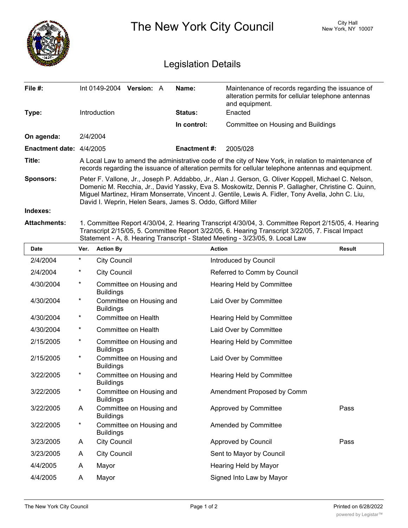